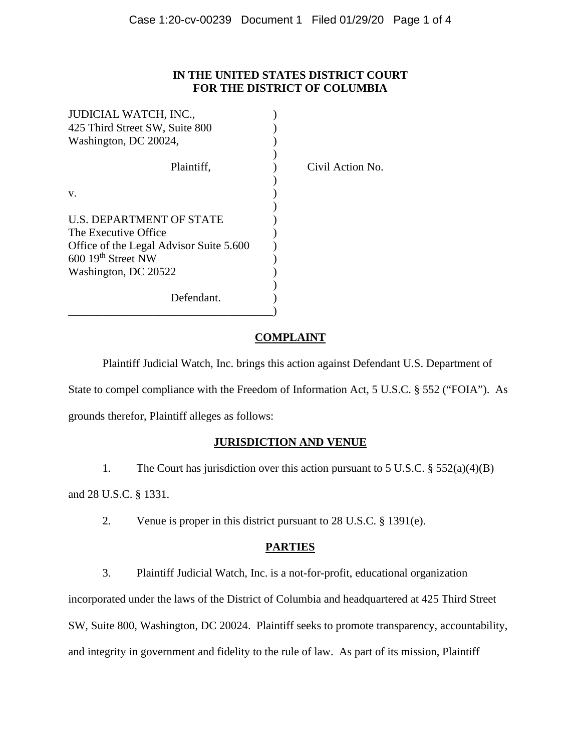## **IN THE UNITED STATES DISTRICT COURT FOR THE DISTRICT OF COLUMBIA**

| JUDICIAL WATCH, INC.,                   |                  |
|-----------------------------------------|------------------|
| 425 Third Street SW, Suite 800          |                  |
| Washington, DC 20024,                   |                  |
| Plaintiff,                              | Civil Action No. |
| V.                                      |                  |
| U.S. DEPARTMENT OF STATE                |                  |
| The Executive Office                    |                  |
| Office of the Legal Advisor Suite 5.600 |                  |
| $600$ 19 <sup>th</sup> Street NW        |                  |
| Washington, DC 20522                    |                  |
| Defendant.                              |                  |

# **COMPLAINT**

Plaintiff Judicial Watch, Inc. brings this action against Defendant U.S. Department of State to compel compliance with the Freedom of Information Act, 5 U.S.C. § 552 ("FOIA"). As grounds therefor, Plaintiff alleges as follows:

# **JURISDICTION AND VENUE**

1. The Court has jurisdiction over this action pursuant to 5 U.S.C. § 552(a)(4)(B)

and 28 U.S.C. § 1331.

2. Venue is proper in this district pursuant to 28 U.S.C. § 1391(e).

# **PARTIES**

3. Plaintiff Judicial Watch, Inc. is a not-for-profit, educational organization

incorporated under the laws of the District of Columbia and headquartered at 425 Third Street

SW, Suite 800, Washington, DC 20024. Plaintiff seeks to promote transparency, accountability,

and integrity in government and fidelity to the rule of law. As part of its mission, Plaintiff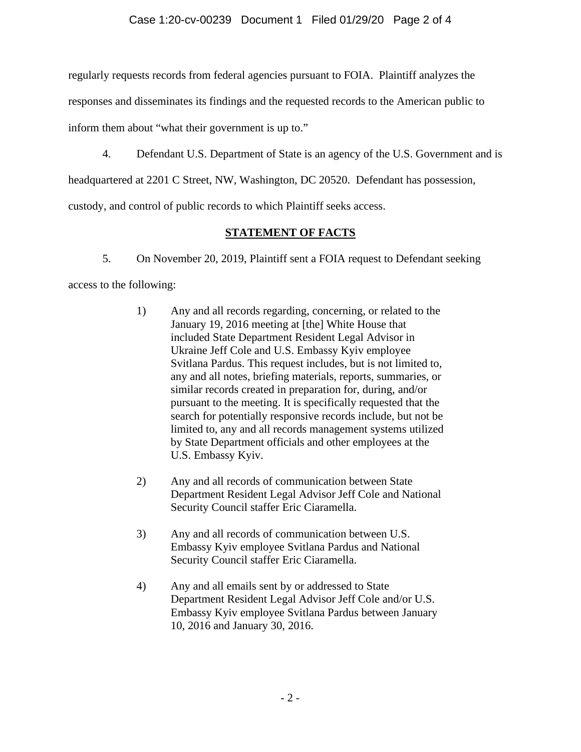regularly requests records from federal agencies pursuant to FOIA. Plaintiff analyzes the

responses and disseminates its findings and the requested records to the American public to

inform them about "what their government is up to."

4. Defendant U.S. Department of State is an agency of the U.S. Government and is

headquartered at 2201 C Street, NW, Washington, DC 20520. Defendant has possession,

custody, and control of public records to which Plaintiff seeks access.

# **STATEMENT OF FACTS**

5. On November 20, 2019, Plaintiff sent a FOIA request to Defendant seeking

access to the following:

- 1) Any and all records regarding, concerning, or related to the January 19, 2016 meeting at [the] White House that included State Department Resident Legal Advisor in Ukraine Jeff Cole and U.S. Embassy Kyiv employee Svitlana Pardus. This request includes, but is not limited to, any and all notes, briefing materials, reports, summaries, or similar records created in preparation for, during, and/or pursuant to the meeting. It is specifically requested that the search for potentially responsive records include, but not be limited to, any and all records management systems utilized by State Department officials and other employees at the U.S. Embassy Kyiv.
- 2) Any and all records of communication between State Department Resident Legal Advisor Jeff Cole and National Security Council staffer Eric Ciaramella.
- 3) Any and all records of communication between U.S. Embassy Kyiv employee Svitlana Pardus and National Security Council staffer Eric Ciaramella.
- 4) Any and all emails sent by or addressed to State Department Resident Legal Advisor Jeff Cole and/or U.S. Embassy Kyiv employee Svitlana Pardus between January 10, 2016 and January 30, 2016.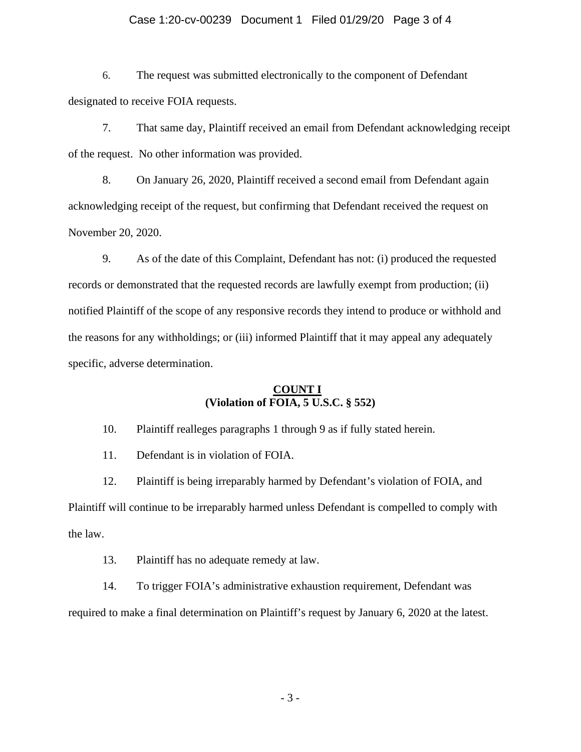#### Case 1:20-cv-00239 Document 1 Filed 01/29/20 Page 3 of 4

6. The request was submitted electronically to the component of Defendant designated to receive FOIA requests.

7. That same day, Plaintiff received an email from Defendant acknowledging receipt of the request. No other information was provided.

8. On January 26, 2020, Plaintiff received a second email from Defendant again acknowledging receipt of the request, but confirming that Defendant received the request on November 20, 2020.

9. As of the date of this Complaint, Defendant has not: (i) produced the requested records or demonstrated that the requested records are lawfully exempt from production; (ii) notified Plaintiff of the scope of any responsive records they intend to produce or withhold and the reasons for any withholdings; or (iii) informed Plaintiff that it may appeal any adequately specific, adverse determination.

## **COUNT I (Violation of FOIA, 5 U.S.C. § 552)**

10. Plaintiff realleges paragraphs 1 through 9 as if fully stated herein.

11. Defendant is in violation of FOIA.

12. Plaintiff is being irreparably harmed by Defendant's violation of FOIA, and Plaintiff will continue to be irreparably harmed unless Defendant is compelled to comply with the law.

13. Plaintiff has no adequate remedy at law.

14. To trigger FOIA's administrative exhaustion requirement, Defendant was required to make a final determination on Plaintiff's request by January 6, 2020 at the latest.